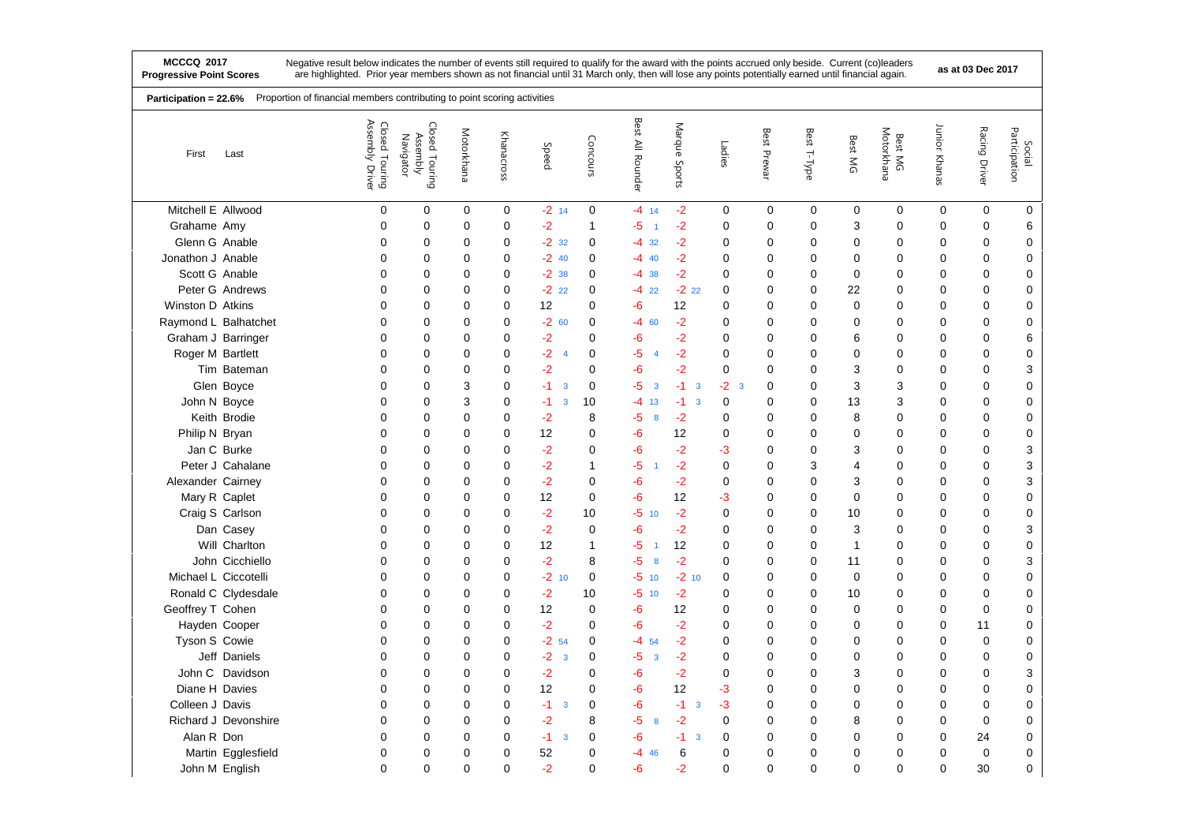|                      | Proportion of financial members contributing to point scoring activities<br>Participation = 22.6% |                                      |                                         |             |             |                                 |              |                               |                               |             |             |             |             |                       |               |               |                         |
|----------------------|---------------------------------------------------------------------------------------------------|--------------------------------------|-----------------------------------------|-------------|-------------|---------------------------------|--------------|-------------------------------|-------------------------------|-------------|-------------|-------------|-------------|-----------------------|---------------|---------------|-------------------------|
| First                | Last                                                                                              | Assembly<br>Closed Touring<br>Driver | Closed Touring<br>Assembly<br>Navigator | Motorkhana  | Khanacross  | Speed                           | Concours     | Best<br>$\geq$<br>Rounder     | Marque<br>Sports              | Ladies      | Best Prewar | Best T-Type | Best MG     | Motorkhana<br>Best MG | Junior Khanas | Racing Driver | Participation<br>Social |
| Mitchell E Allwood   |                                                                                                   | $\mathbf 0$                          | 0                                       | 0           | $\mathbf 0$ | $-2$ 14                         | $\mathbf 0$  | $-4$ 14                       | $-2$                          | 0           | $\mathbf 0$ | $\mathbf 0$ | 0           | 0                     | 0             | 0             | 0                       |
| Grahame Amy          |                                                                                                   | 0                                    | 0                                       | $\Omega$    | 0           | $-2$                            | $\mathbf{1}$ | $-5$<br>$\overline{1}$        | $-2$                          | 0           | 0           | 0           | 3           | $\mathbf 0$           | 0             | 0             | 6                       |
| Glenn G Anable       |                                                                                                   | $\mathbf 0$                          | 0                                       | 0           | 0           | $-2$ 32                         | $\mathbf 0$  | $-4$ 32                       | $-2$                          | $\mathbf 0$ | 0           | 0           | 0           | $\mathbf 0$           | 0             | 0             | 0                       |
| Jonathon J Anable    |                                                                                                   | $\Omega$                             | 0                                       | $\Omega$    | $\Omega$    | $-2$ 40                         | $\Omega$     | $-4$ 40                       | $-2$                          | $\Omega$    | 0           | $\Omega$    | $\Omega$    | $\Omega$              | 0             | $\Omega$      | $\mathbf 0$             |
| Scott G Anable       |                                                                                                   | $\mathbf 0$                          | 0                                       | 0           | 0           | $-2.38$                         | $\mathbf 0$  | $-4$ 38                       | $-2$                          | 0           | 0           | 0           | 0           | $\mathbf 0$           | 0             | 0             | $\pmb{0}$               |
|                      | Peter G Andrews                                                                                   | $\Omega$                             | $\mathbf 0$                             | 0           | 0           | $-2$<br>22                      | $\mathbf 0$  | $-422$                        | $-222$                        | 0           | 0           | 0           | 22          | $\mathbf 0$           | 0             | 0             | 0                       |
| Winston D Atkins     |                                                                                                   | 0                                    | 0                                       | 0           | 0           | 12                              | $\mathbf 0$  | -6                            | 12                            | $\mathbf 0$ | 0           | 0           | $\mathbf 0$ | 0                     | 0             | 0             | 0                       |
| Raymond L Balhatchet |                                                                                                   | $\Omega$                             | 0                                       | $\Omega$    | 0           | $-260$                          | 0            | $-4$ 60                       | $-2$                          | 0           | 0           | 0           | 0           | $\mathbf 0$           | 0             | 0             | $\mathbf 0$             |
| Graham J Barringer   |                                                                                                   | 0                                    | 0                                       | 0           | 0           | $-2$                            | 0            | -6                            | $-2$                          | $\mathbf 0$ | 0           | 0           | 6           | $\mathbf 0$           | 0             | 0             | 6                       |
| Roger M Bartlett     |                                                                                                   | $\mathbf 0$                          | 0                                       | 0           | 0           | $-2$<br>$\overline{4}$          | $\mathbf 0$  | -5<br>$\overline{4}$          | $-2$                          | 0           | 0           | 0           | $\Omega$    | $\mathbf 0$           | 0             | 0             | 0                       |
|                      | Tim Bateman                                                                                       | 0                                    | 0                                       | 0           | 0           | $-2$                            | $\mathbf 0$  | -6                            | $-2$                          | $\mathbf 0$ | 0           | 0           | 3           | 0                     | 0             | 0             | 3                       |
|                      | Glen Boyce                                                                                        | 0                                    | 0                                       | 3           | 0           | $-1$<br>3                       | $\mathbf 0$  | -5<br>$\overline{\mathbf{3}}$ | $-1$<br>3                     | $-2$<br>3   | 0           | 0           | 3           | 3                     | 0             | 0             | $\pmb{0}$               |
| John N Boyce         |                                                                                                   | $\mathbf 0$                          | 0                                       | 3           | 0           | $-1$<br>3                       | 10           | $-4$<br>13                    | $-1$<br>3                     | $\mathbf 0$ | 0           | 0           | 13          | 3                     | 0             | 0             | $\pmb{0}$               |
|                      | Keith Brodie                                                                                      | $\mathbf 0$                          | 0                                       | 0           | 0           | $-2$                            | 8            | -5<br>8                       | $-2$                          | $\mathbf 0$ | 0           | 0           | 8           | $\mathbf 0$           | 0             | 0             | 0                       |
| Philip N Bryan       |                                                                                                   | $\mathbf 0$                          | 0                                       | 0           | 0           | 12                              | 0            | -6                            | 12                            | 0           | 0           | 0           | 0           | 0                     | 0             | 0             | $\pmb{0}$               |
|                      | Jan C Burke                                                                                       | $\mathbf 0$                          | $\mathbf 0$                             | 0           | 0           | $-2$                            | $\mathbf 0$  | -6                            | $-2$                          | -3          | 0           | 0           | 3           | $\mathbf 0$           | 0             | 0             | 3                       |
|                      | Peter J Cahalane                                                                                  | $\mathbf 0$                          | 0                                       | 0           | 0           | $-2$                            | 1            | $-5$<br>$\overline{1}$        | $-2$                          | $\mathbf 0$ | 0           | 3           | 4           | $\mathbf 0$           | 0             | 0             | 3                       |
| Alexander Cairney    |                                                                                                   | $\mathbf 0$                          | 0                                       | 0           | 0           | $-2$                            | $\mathbf 0$  | -6                            | $-2$                          | $\mathbf 0$ | 0           | 0           | 3           | $\mathbf 0$           | 0             | 0             | 3                       |
| Mary R Caplet        |                                                                                                   | $\mathbf 0$                          | 0                                       | 0           | 0           | 12                              | $\mathbf 0$  | -6                            | 12                            | -3          | 0           | 0           | 0           | $\mathbf 0$           | 0             | 0             | $\pmb{0}$               |
|                      | Craig S Carlson                                                                                   | $\mathbf 0$                          | $\mathbf 0$                             | 0           | 0           | $-2$                            | 10           | -5<br>10                      | $-2$                          | 0           | 0           | 0           | 10          | $\mathbf 0$           | 0             | 0             | 0                       |
|                      | Dan Casey                                                                                         | $\mathbf 0$                          | 0                                       | 0           | 0           | $-2$                            | $\mathbf 0$  | -6                            | $-2$                          | 0           | 0           | 0           | 3           | 0                     | 0             | 0             | 3                       |
|                      | Will Charlton                                                                                     | $\Omega$                             | 0                                       | 0           | 0           | 12                              | 1            | -5<br>$\overline{1}$          | 12                            | $\mathbf 0$ | 0           | 0           | 1           | $\mathbf 0$           | 0             | 0             | 0                       |
|                      | John Cicchiello                                                                                   | $\mathbf 0$                          | 0                                       | 0           | 0           | $-2$                            | 8            | -5<br>8                       | $-2$                          | $\mathbf 0$ | 0           | 0           | 11          | 0                     | 0             | 0             | 3                       |
| Michael L Ciccotelli |                                                                                                   | $\mathbf 0$                          | 0                                       | 0           | 0           | $-2$<br>10                      | 0            | -5<br>10                      | $-2$ 10                       | 0           | 0           | 0           | 0           | $\mathbf 0$           | 0             | 0             | 0                       |
|                      | Ronald C Clydesdale                                                                               | $\Omega$                             | 0                                       | $\Omega$    | 0           | $-2$                            | 10           | -5<br>10                      | $-2$                          | 0           | 0           | 0           | 10          | 0                     | 0             | 0             | $\pmb{0}$               |
| Geoffrey T Cohen     |                                                                                                   | $\mathbf 0$                          | 0                                       | 0           | 0           | 12                              | $\mathbf 0$  | -6                            | 12                            | $\mathbf 0$ | 0           | 0           | 0           | 0                     | 0             | 0             | 0                       |
| Hayden Cooper        |                                                                                                   | $\mathbf 0$                          | 0                                       | $\Omega$    | 0           | $-2$                            | $\mathbf 0$  | $-6$                          | $-2$                          | $\mathbf 0$ | 0           | 0           | 0           | $\mathbf 0$           | 0             | 11            | $\mathbf 0$             |
| Tyson S Cowie        |                                                                                                   | 0                                    | 0                                       | 0           | 0           | $-2.54$                         | 0            | $-4$ 54                       | $-2$                          | 0           | 0           | 0           | 0           | 0                     | 0             | 0             | 0                       |
|                      | Jeff Daniels                                                                                      | $\mathbf 0$                          | 0                                       | 0           | 0           | $-2$<br>$\overline{\mathbf{3}}$ | $\mathbf 0$  | -5<br>3                       | $-2$                          | $\mathbf 0$ | 0           | 0           | 0           | $\mathbf 0$           | 0             | 0             | 0                       |
|                      | John C Davidson                                                                                   | 0                                    | 0                                       | 0           | 0           | $-2$                            | $\mathbf 0$  | -6                            | $-2$                          | 0           | 0           | 0           | 3           | 0                     | 0             | 0             | 3                       |
| Diane H Davies       |                                                                                                   | $\mathbf 0$                          | $\mathbf 0$                             | 0           | 0           | 12                              | $\mathbf 0$  | -6                            | 12                            | -3          | 0           | 0           | 0           | $\mathbf 0$           | 0             | 0             | $\pmb{0}$               |
| Colleen J Davis      |                                                                                                   | $\mathbf 0$                          | 0                                       | 0           | 0           | $-1$<br>$\overline{\mathbf{3}}$ | $\mathbf 0$  | $-6$                          | -1<br>$\overline{\mathbf{3}}$ | $-3$        | 0           | 0           | 0           | $\mathbf 0$           | 0             | 0             | $\pmb{0}$               |
|                      | Richard J Devonshire                                                                              | $\mathbf 0$                          | 0                                       | $\Omega$    | 0           | $-2$                            | 8            | -5<br>8                       | $-2$                          | $\mathbf 0$ | 0           | 0           | 8           | $\mathbf 0$           | 0             | 0             | 0                       |
| Alan R Don           |                                                                                                   | $\mathbf 0$                          | 0                                       | 0           | 0           | $-1$<br>3                       | 0            | -6                            | -1<br>3                       | $\mathbf 0$ | 0           | 0           | 0           | $\mathbf 0$           | 0             | 24            | $\pmb{0}$               |
|                      | Martin Egglesfield                                                                                | 0                                    | $\mathbf 0$                             | 0           | 0           | 52                              | 0            | -4<br>46                      | 6                             | $\mathbf 0$ | 0           | 0           | 0           | $\mathbf 0$           | 0             | 0             | $\pmb{0}$               |
| John M English       |                                                                                                   | $\mathbf 0$                          | 0                                       | $\mathbf 0$ | 0           | $-2$                            | $\mathbf 0$  | $-6$                          | $-2$                          | $\mathbf 0$ | 0           | 0           | $\mathbf 0$ | $\mathbf 0$           | 0             | 30            | $\mathsf 0$             |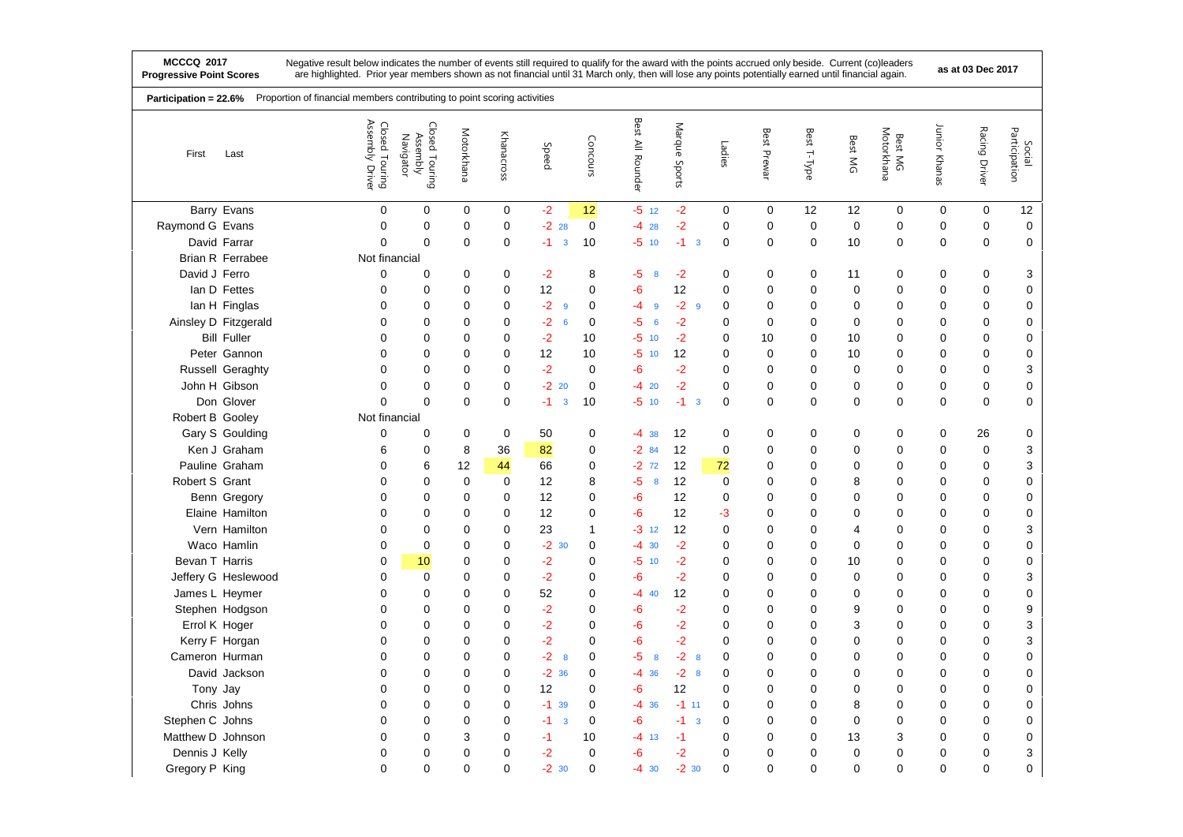|                   | Proportion of financial members contributing to point scoring activities<br>Participation = 22.6% |                                               |                                         |             |             |                                 |              |                         |                                 |             |             |             |                |                       |               |               |                         |
|-------------------|---------------------------------------------------------------------------------------------------|-----------------------------------------------|-----------------------------------------|-------------|-------------|---------------------------------|--------------|-------------------------|---------------------------------|-------------|-------------|-------------|----------------|-----------------------|---------------|---------------|-------------------------|
| First             | Last                                                                                              | Assembly<br>Closed Touring<br>Assembly Driver | Closed Touring<br>Assembly<br>Navigator | Motorkhana  | Khanacross  | Speed                           | Concours     | Best All Rounder        | Marque<br>Sports                | Ladies      | Best Prewar | Best T-Type | Best MG        | Motorkhana<br>Best MG | Junior Khanas | Racing Driver | Participation<br>Social |
|                   | Barry Evans                                                                                       | 0                                             | 0                                       | 0           | 0           | $-2$                            | 12           | $-5$ 12                 | $-2$                            | $\mathbf 0$ | 0           | 12          | 12             | 0                     | $\mathbf 0$   | $\mathbf 0$   | 12                      |
| Raymond G Evans   |                                                                                                   | $\mathbf 0$                                   | 0                                       | $\mathbf 0$ | $\mathbf 0$ | $-22$ 28                        | $\mathbf 0$  | -4<br>28                | $-2$                            | 0           | 0           | 0           | $\mathbf 0$    | 0                     | $\mathbf 0$   | $\mathbf 0$   | $\mathbf 0$             |
|                   | David Farrar                                                                                      | 0                                             | 0                                       | $\mathbf 0$ | $\mathbf 0$ | $-1$<br>$\overline{\mathbf{3}}$ | 10           | -5<br>10                | $-1$<br>$\overline{\mathbf{3}}$ | $\mathbf 0$ | 0           | 0           | 10             | $\mathbf 0$           | $\mathbf 0$   | 0             | $\mathbf 0$             |
|                   | <b>Brian R Ferrabee</b>                                                                           | Not financial                                 |                                         |             |             |                                 |              |                         |                                 |             |             |             |                |                       |               |               |                         |
| David J Ferro     |                                                                                                   | $\pmb{0}$                                     | 0                                       | 0           | $\mathbf 0$ | $-2$                            | 8            | $-5$<br>8               | $-2$                            | 0           | 0           | $\mathbf 0$ | 11             | 0                     | $\mathbf 0$   | $\mathbf 0$   | 3                       |
|                   | lan D Fettes                                                                                      | $\mathbf 0$                                   | 0                                       | $\mathbf 0$ | $\mathbf 0$ | 12                              | $\mathbf 0$  | -6                      | 12                              | $\mathbf 0$ | $\mathbf 0$ | $\mathbf 0$ | 0              | $\Omega$              | $\mathbf 0$   | $\mathbf 0$   | 0                       |
|                   | lan H Finglas                                                                                     | $\mathbf 0$                                   | 0                                       | 0           | 0           | $-2$<br>9                       | $\mathbf 0$  | $-4$<br>$\mathbf{9}$    | $-2$<br>$\overline{9}$          | 0           | $\mathbf 0$ | 0           | 0              | 0                     | $\mathbf 0$   | 0             | $\mathbf 0$             |
|                   | Ainsley D Fitzgerald                                                                              | 0                                             | 0                                       | 0           | $\mathbf 0$ | $-2$<br>6                       | $\mathbf 0$  | $-5$<br>$6\phantom{1}6$ | $-2$                            | 0           | $\mathbf 0$ | $\mathbf 0$ | $\Omega$       | $\Omega$              | $\mathbf 0$   | $\mathbf 0$   | $\mathbf 0$             |
|                   | <b>Bill Fuller</b>                                                                                | 0                                             | 0                                       | 0           | $\mathbf 0$ | $-2$                            | 10           | $-5$<br>10              | $-2$                            | 0           | 10          | 0           | 10             | 0                     | 0             | 0             | $\pmb{0}$               |
|                   | Peter Gannon                                                                                      | 0                                             | 0                                       | $\Omega$    | $\mathbf 0$ | 12                              | 10           | -5<br>10                | 12                              | 0           | 0           | 0           | 10             | 0                     | $\mathbf 0$   | 0             | $\mathbf 0$             |
|                   | Russell Geraghty                                                                                  | 0                                             | 0                                       | 0           | 0           | $-2$                            | $\mathbf 0$  | -6                      | $-2$                            | 0           | $\mathbf 0$ | 0           | 0              | 0                     | 0             | 0             | 3                       |
|                   | John H Gibson                                                                                     | 0                                             | 0                                       | 0           | $\mathbf 0$ | $-220$                          | $\mathbf 0$  | -4<br>20                | $-2$                            | 0           | 0           | 0           | 0              | $\mathbf 0$           | $\mathbf 0$   | $\mathbf 0$   | $\pmb{0}$               |
|                   | Don Glover                                                                                        | 0                                             | 0                                       | $\mathbf 0$ | $\mathbf 0$ | $-1$<br>$\mathbf{3}$            | 10           | -5<br>10                | $-1$<br>$\overline{\mathbf{3}}$ | 0           | 0           | $\mathbf 0$ | 0              | 0                     | $\mathbf 0$   | $\mathbf 0$   | $\mathbf 0$             |
| Robert B Gooley   |                                                                                                   | Not financial                                 |                                         |             |             |                                 |              |                         |                                 |             |             |             |                |                       |               |               |                         |
|                   | Gary S Goulding                                                                                   | 0                                             | 0                                       | $\mathbf 0$ | 0           | 50                              | $\mathbf 0$  | $-4$ 38                 | 12                              | 0           | $\mathbf 0$ | 0           | 0              | 0                     | $\mathbf 0$   | 26            | 0                       |
|                   | Ken J Graham                                                                                      | 6                                             | 0                                       | 8           | 36          | 82                              | $\mathbf 0$  | $-284$                  | 12                              | $\mathbf 0$ | 0           | $\pmb{0}$   | 0              | 0                     | $\mathbf 0$   | $\mathbf 0$   | 3                       |
|                   | Pauline Graham                                                                                    | $\mathbf 0$                                   | 6                                       | 12          | 44          | 66                              | $\mathbf 0$  | $-272$                  | 12                              | 72          | $\mathbf 0$ | $\mathbf 0$ | 0              | $\Omega$              | $\mathbf 0$   | $\mathbf 0$   | 3                       |
| Robert S Grant    |                                                                                                   | $\mathbf 0$                                   | 0                                       | $\mathbf 0$ | $\mathbf 0$ | 12                              | 8            | $-5$<br>8               | 12                              | $\mathbf 0$ | $\mathbf 0$ | 0           | 8              | 0                     | $\mathbf 0$   | $\mathbf 0$   | $\pmb{0}$               |
|                   | Benn Gregory                                                                                      | $\Omega$                                      | 0                                       | $\Omega$    | $\mathbf 0$ | 12                              | $\Omega$     | $-6$                    | 12                              | $\mathbf 0$ | $\Omega$    | $\mathbf 0$ | $\mathbf{0}$   | $\mathbf{0}$          | $\mathbf 0$   | $\mathbf 0$   | $\mathbf 0$             |
|                   | Elaine Hamilton                                                                                   | 0                                             | 0                                       | 0           | 0           | 12                              | 0            | -6                      | 12                              | -3          | $\mathbf 0$ | 0           | 0              | 0                     | 0             | 0             | $\pmb{0}$               |
|                   | Vern Hamilton                                                                                     | $\mathbf 0$                                   | 0                                       | $\mathbf 0$ | $\mathbf 0$ | 23                              | $\mathbf{1}$ | $-3$ 12                 | 12                              | 0           | $\mathbf 0$ | 0           | 4              | $\Omega$              | $\mathbf 0$   | $\mathbf 0$   | 3                       |
|                   | Waco Hamlin                                                                                       | 0                                             | 0                                       | $\mathbf 0$ | 0           | $-2$ 30                         | 0            | -4<br>30                | $-2$                            | 0           | $\mathbf 0$ | 0           | 0              | 0                     | 0             | 0             | $\mathbf 0$             |
| Bevan T Harris    |                                                                                                   | 0                                             | 10                                      | 0           | $\mathbf 0$ | $-2$                            | $\mathbf 0$  | -5<br>10                | $-2$                            | 0           | 0           | 0           | 10             | $\Omega$              | $\mathbf 0$   | $\mathbf 0$   | $\mathbf 0$             |
|                   | Jeffery G Heslewood                                                                               | 0                                             | 0                                       | 0           | 0           | $-2$                            | $\mathbf 0$  | -6                      | $-2$                            | 0           | $\mathbf 0$ | 0           | 0              | 0                     | $\mathbf 0$   | 0             | 3                       |
| James L Heymer    |                                                                                                   | 0                                             | 0                                       | $\mathbf 0$ | $\mathbf 0$ | 52                              | $\mathbf 0$  | -4<br>40                | 12                              | 0           | $\mathbf 0$ | 0           | 0              | 0                     | $\mathbf 0$   | $\mathbf 0$   | $\pmb{0}$               |
|                   | Stephen Hodgson                                                                                   | 0                                             | 0                                       | 0           | 0           | $-2$                            | $\mathbf 0$  | -6                      | $-2$                            | 0           | $\mathbf 0$ | 0           | 9              | 0                     | 0             | 0             | $\boldsymbol{9}$        |
| Errol K Hoger     |                                                                                                   | 0                                             | 0                                       | 0           | $\mathbf 0$ | $-2$                            | $\mathbf 0$  | -6                      | $-2$                            | 0           | 0           | 0           | 3              | 0                     | 0             | 0             | 3                       |
|                   | Kerry F Horgan                                                                                    | $\mathbf 0$                                   | 0                                       | 0           | 0           | $-2$                            | $\mathbf 0$  | $-6$                    | $-2$                            | 0           | $\mathbf 0$ | 0           | 0              | 0                     | $\mathbf 0$   | 0             | 3                       |
| Cameron Hurman    |                                                                                                   | 0                                             | 0                                       | $\mathbf 0$ | 0           | $-2$<br>8                       | $\mathbf 0$  | $-5$<br>8               | $-2$<br>8                       | 0           | $\mathbf 0$ | 0           | 0              | 0                     | $\mathbf 0$   | $\mathbf 0$   | $\pmb{0}$               |
|                   | David Jackson                                                                                     | $\Omega$                                      | 0                                       | $\Omega$    | $\mathbf 0$ | $-2.36$                         | $\mathbf 0$  | -4<br>36                | $-2$<br>8                       | 0           | $\mathbf 0$ | 0           | $\Omega$       | $\Omega$              | $\mathbf 0$   | $\mathbf 0$   | 0                       |
| Tony Jay          |                                                                                                   | 0                                             | 0                                       | 0           | $\mathbf 0$ | 12                              | $\mathbf 0$  | -6                      | 12                              | 0           | $\mathbf 0$ | 0           | 0              | 0                     | $\mathbf 0$   | $\mathbf 0$   | $\pmb{0}$               |
|                   | Chris Johns                                                                                       | $\mathbf 0$                                   | 0                                       | $\Omega$    | $\mathbf 0$ | $-1$<br>39                      | $\mathbf 0$  | $-4$<br>36              | $-1$ 11                         | 0           | $\mathbf 0$ | $\mathbf 0$ | 8              | $\Omega$              | $\mathbf 0$   | $\mathbf 0$   | $\boldsymbol{0}$        |
| Stephen C Johns   |                                                                                                   | $\mathbf 0$                                   | 0                                       | 0           | 0           | $-1$<br>3                       | $\mathbf 0$  | -6                      | $-1$<br>$\overline{\mathbf{3}}$ | 0           | $\mathbf 0$ | 0           | 0              | 0                     | 0             | $\mathbf 0$   | $\mathbf 0$             |
| Matthew D Johnson |                                                                                                   | 0                                             | $\mathbf{0}$                            | 3           | $\mathbf 0$ | $-1$                            | 10           | -4<br>13                | $-1$                            | $\Omega$    | $\Omega$    | 0           | 13             | 3                     | 0             | $\Omega$      | $\pmb{0}$               |
| Dennis J Kelly    |                                                                                                   | 0                                             | 0                                       | $\mathbf 0$ | $\mathbf 0$ | $-2$                            | $\mathbf 0$  | -6                      | -2                              | 0           | $\mathbf 0$ | $\mathbf 0$ | 0              | 0                     | $\mathbf 0$   | 0             | 3                       |
| Gregory P King    |                                                                                                   | 0                                             | $\mathbf{0}$                            | $\Omega$    | $\mathbf 0$ | $-2$<br>30                      | $\Omega$     | -4<br>30                | $-2.30$                         | $\Omega$    | $\Omega$    | $\Omega$    | $\overline{0}$ | $\mathbf{0}$          | $\mathbf 0$   | $\Omega$      | $\mathbf 0$             |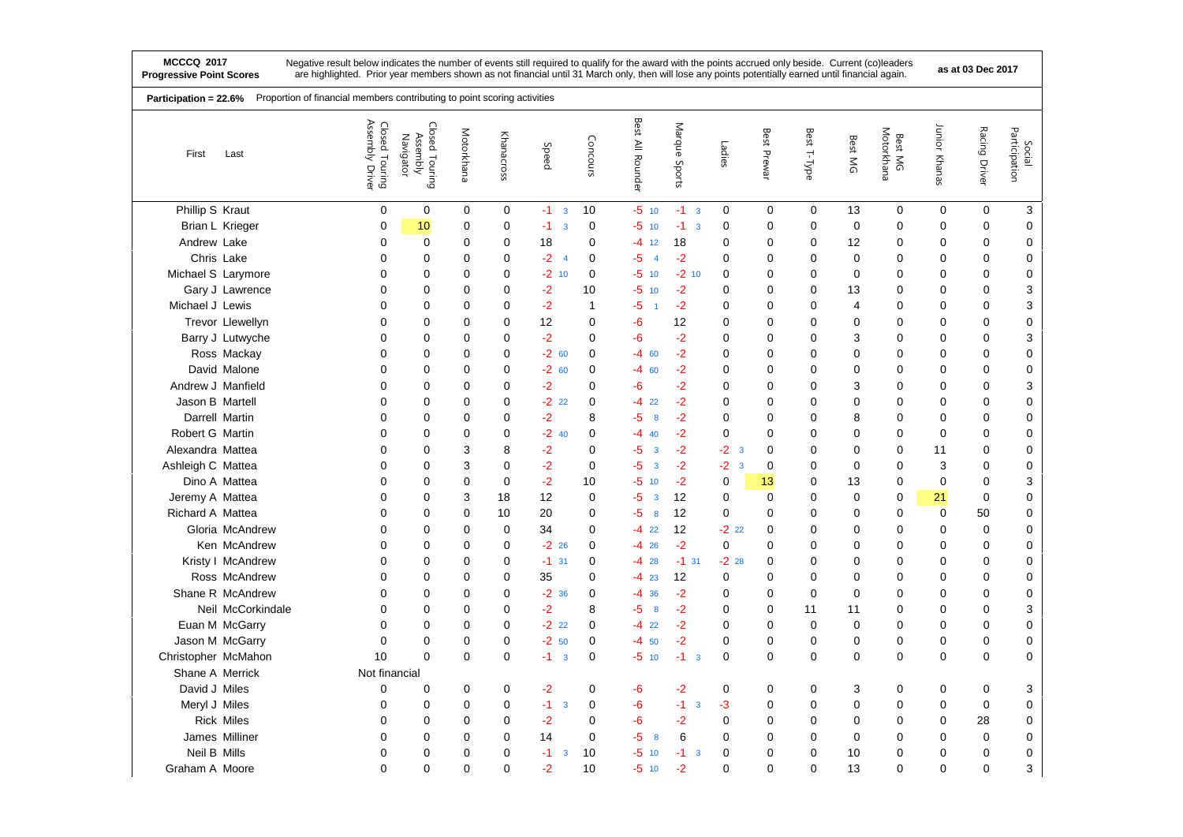|                     | Proportion of financial members contributing to point scoring activities<br>Participation = 22.6% |                                   |                                         |             |                |                                 |              |                                 |                                 |                               |             |                |              |                       |               |               |                         |
|---------------------|---------------------------------------------------------------------------------------------------|-----------------------------------|-----------------------------------------|-------------|----------------|---------------------------------|--------------|---------------------------------|---------------------------------|-------------------------------|-------------|----------------|--------------|-----------------------|---------------|---------------|-------------------------|
| First               | Last                                                                                              | Closed Touring<br>Assembly Driver | Closed Touring<br>Navigator<br>Assembly | Motorkhana  | Khanacross     | Speed                           | Concours     | <b>Best</b><br>All Rounder      | Marque<br>Sports                | Ladies                        | Best Prewar | Best T-Type    | Best MG      | Motorkhana<br>Best MG | Junior Khanas | Racing Driver | Participation<br>Social |
| Phillip S Kraut     |                                                                                                   | $\mathbf 0$                       | 0                                       | 0           | 0              | $-1$<br>$\overline{\mathbf{3}}$ | 10           | $-5$ 10                         | $-1$ 3                          | 0                             | 0           | $\mathbf 0$    | 13           | 0                     | $\mathbf 0$   | $\mathbf 0$   | 3                       |
|                     | Brian L Krieger                                                                                   | 0                                 | 10                                      | 0           | 0              | $-1$<br>3                       | 0            | $-5$<br>10                      | $-1$<br>$\overline{3}$          | 0                             | 0           | 0              | $\mathbf 0$  | 0                     | $\mathbf 0$   | 0             | 0                       |
| Andrew Lake         |                                                                                                   | 0                                 | 0                                       | 0           | $\pmb{0}$      | 18                              | 0            | -4<br>12                        | 18                              | 0                             | $\mathbf 0$ | $\mathbf 0$    | 12           | 0                     | $\mathbf 0$   | 0             | $\mathbf 0$             |
|                     | Chris Lake                                                                                        | 0                                 | $\mathbf 0$                             | 0           | 0              | $-2$<br>$\overline{4}$          | $\mathbf 0$  | -5<br>$\overline{4}$            | $-2$                            | 0                             | 0           | 0              | 0            | 0                     | $\mathbf 0$   | 0             | 0                       |
| Michael S Larymore  |                                                                                                   | 0                                 | 0                                       | $\mathbf 0$ | 0              | $-2$ 10                         | 0            | $-5$<br>10                      | $-2$ 10                         | 0                             | 0           | 0              | 0            | 0                     | $\mathbf 0$   | 0             | $\pmb{0}$               |
|                     | Gary J Lawrence                                                                                   | 0                                 | $\mathbf 0$                             | 0           | $\mathbf 0$    | $-2$                            | 10           | -5<br>10                        | $-2$                            | 0                             | $\mathbf 0$ | 0              | 13           | $\Omega$              | $\mathbf 0$   | 0             | 3                       |
| Michael J Lewis     |                                                                                                   | 0                                 | 0                                       | $\mathbf 0$ | $\mathbf 0$    | $-2$                            | $\mathbf{1}$ | -5                              | $-2$                            | 0                             | $\mathbf 0$ | 0              | 4            | 0                     | $\mathbf 0$   | 0             | 3                       |
|                     | Trevor Llewellyn                                                                                  | $\mathbf{0}$                      | $\mathbf 0$                             | $\Omega$    | $\mathbf 0$    | 12                              | $\mathbf 0$  | -6                              | 12                              | $\mathbf 0$                   | $\mathbf 0$ | 0              | $\Omega$     | $\Omega$              | 0             | 0             | $\mathbf 0$             |
|                     | Barry J Lutwyche                                                                                  | 0                                 | $\mathbf 0$                             | 0           | $\mathbf 0$    | $-2$                            | 0            | -6                              | $-2$                            | $\mathbf 0$                   | $\mathbf 0$ | 0              | 3            | 0                     | $\mathbf 0$   | 0             | 3                       |
|                     | Ross Mackay                                                                                       | 0                                 | $\mathbf 0$                             | $\Omega$    | $\mathbf 0$    | $-260$                          | 0            | $-4$<br>60                      | $-2$                            | 0                             | $\mathbf 0$ | 0              | 0            | $\Omega$              | $\mathbf 0$   | 0             | $\mathbf 0$             |
|                     | David Malone                                                                                      | 0                                 | 0                                       | 0           | $\mathbf 0$    | $-260$                          | 0            | -4<br>60                        | $-2$                            | 0                             | $\mathbf 0$ | 0              | 0            | 0                     | $\mathbf 0$   | 0             | $\pmb{0}$               |
| Andrew J Manfield   |                                                                                                   | $\mathbf{0}$                      | $\mathbf 0$                             | $\Omega$    | $\mathbf 0$    | $-2$                            | $\Omega$     | -6                              | $-2$                            | 0                             | 0           | 0              | 3            | $\mathbf{0}$          | $\mathbf 0$   | 0             | 3                       |
| Jason B Martell     |                                                                                                   | 0                                 | $\mathbf 0$                             | 0           | $\mathbf 0$    | $-2$<br>22                      | 0            | -4<br>22                        | $-2$                            | 0                             | $\mathbf 0$ | 0              | 0            | 0                     | $\mathbf 0$   | $\mathbf 0$   | $\pmb{0}$               |
|                     | Darrell Martin                                                                                    | 0                                 | $\mathbf 0$                             | $\mathbf 0$ | $\mathbf 0$    | $-2$                            | 8            | $-5$<br>8                       | $-2$                            | 0                             | $\mathbf 0$ | 0              | 8            | $\Omega$              | $\mathbf 0$   | 0             | 0                       |
| Robert G Martin     |                                                                                                   | 0                                 | $\mathbf 0$                             | 0           | 0              | $-2$ 40                         | $\mathbf 0$  | -4<br>40                        | $-2$                            | 0                             | 0           | 0              | 0            | 0                     | $\mathbf 0$   | 0             | 0                       |
| Alexandra Mattea    |                                                                                                   | 0                                 | $\mathbf 0$                             | 3           | 8              | $-2$                            | 0            | -5<br>$\overline{\mathbf{3}}$   | $-2$                            | $-2$<br>$\mathbf{3}$          | 0           | 0              | 0            | $\mathbf{0}$          | 11            | 0             | $\mathbf 0$             |
| Ashleigh C Mattea   |                                                                                                   | 0                                 | 0                                       | 3           | $\mathbf 0$    | $-2$                            | 0            | $-5$<br>$\overline{\mathbf{3}}$ | $-2$                            | -2<br>$\overline{\mathbf{3}}$ | 0           | 0              | 0            | 0                     | 3             | 0             | $\pmb{0}$               |
|                     | Dino A Mattea                                                                                     | 0                                 | 0                                       | 0           | 0              | $-2$                            | 10           | -5<br>10                        | $-2$                            | 0                             | 13          | 0              | 13           | 0                     | $\mathbf 0$   | 0             | 3                       |
| Jeremy A Mattea     |                                                                                                   | 0                                 | 0                                       | 3           | 18             | 12                              | $\mathbf 0$  | -5<br>$\mathbf{3}$              | 12                              | 0                             | $\mathbf 0$ | 0              | 0            | 0                     | 21            | 0             | $\mathbf 0$             |
| Richard A Mattea    |                                                                                                   | 0                                 | 0                                       | 0           | 10             | 20                              | 0            | -5<br>$\boldsymbol{8}$          | 12                              | 0                             | 0           | 0              | 0            | 0                     | $\mathbf 0$   | 50            | $\mathbf 0$             |
|                     | Gloria McAndrew                                                                                   | 0                                 | $\mathbf 0$                             | $\mathbf 0$ | 0              | 34                              | 0            | $-4$<br>22                      | 12                              | $-222$                        | $\mathbf 0$ | 0              | 0            | 0                     | 0             | 0             | $\mathbf 0$             |
|                     | Ken McAndrew                                                                                      | 0                                 | 0                                       | 0           | $\mathbf 0$    | $-22$ 26                        | 0            | $-4$<br>26                      | $-2$                            | 0                             | $\mathbf 0$ | 0              | 0            | 0                     | $\mathbf 0$   | 0             | $\mathbf 0$             |
|                     | Kristy I McAndrew                                                                                 | $\mathbf{0}$                      | $\mathbf 0$                             | 0           | 0              | $-1$<br>31                      | 0            | $-4$ 28                         | $-1$ 31                         | $-22$ 28                      | 0           | 0              | 0            | $\Omega$              | 0             | 0             | 0                       |
|                     | Ross McAndrew                                                                                     | 0                                 | 0                                       | 0           | 0              | 35                              | 0            | -4<br>23                        | 12                              | 0                             | 0           | 0              | 0            | 0                     | $\mathbf 0$   | 0             | $\mathbf 0$             |
|                     | Shane R McAndrew                                                                                  | $\mathbf{0}$                      | $\mathbf 0$                             | $\Omega$    | $\mathbf 0$    | $-2.36$                         | 0            | $-4$<br>36                      | $-2$                            | 0                             | 0           | 0              | $\mathbf{0}$ | $\Omega$              | $\mathbf 0$   | 0             | $\mathbf 0$             |
|                     | Neil McCorkindale                                                                                 | 0                                 | 0                                       | 0           | $\mathbf 0$    | $-2$                            | 8            | -5<br>8                         | $-2$                            | 0                             | $\mathbf 0$ | 11             | 11           | 0                     | $\mathbf 0$   | 0             | 3                       |
|                     | Euan M McGarry                                                                                    | $\mathbf{0}$                      | $\mathbf 0$                             | 0           | $\mathbf 0$    | $-222$                          | 0            | $-4$<br>22                      | $-2$                            | 0                             | 0           | $\mathbf 0$    | 0            | $\Omega$              | 0             | 0             | 0                       |
|                     | Jason M McGarry                                                                                   | 0                                 | 0                                       | 0           | $\mathbf 0$    | $-2$<br>50                      | 0            | -4<br>50                        | $-2$                            | 0                             | $\pmb{0}$   | 0              | 0            | 0                     | $\mathbf 0$   | 0             | $\pmb{0}$               |
| Christopher McMahon |                                                                                                   | 10                                | $\mathbf 0$                             | 0           | $\mathbf 0$    | $-1$<br>$\overline{\mathbf{3}}$ | 0            | -5<br>10                        | $-1$<br>$\overline{\mathbf{3}}$ | 0                             | $\mathbf 0$ | 0              | 0            | 0                     | $\mathbf 0$   | $\mathbf 0$   | 0                       |
| Shane A Merrick     |                                                                                                   | Not financial                     |                                         |             |                |                                 |              |                                 |                                 |                               |             |                |              |                       |               |               |                         |
| David J Miles       |                                                                                                   | 0                                 | $\mathbf 0$                             | 0           | 0              | -2                              | $\mathbf 0$  | -6                              | -2                              | $\mathbf 0$                   | 0           | 0              | 3            | 0                     | 0             | 0             | 3                       |
| Meryl J Miles       |                                                                                                   | 0                                 | 0                                       | $\mathbf 0$ | $\pmb{0}$      | $-1$<br>3                       | 0            | -6                              | $-1$<br>3                       | -3                            | $\mathbf 0$ | 0              | 0            | 0                     | $\mathbf 0$   | 0             | $\pmb{0}$               |
|                     | <b>Rick Miles</b>                                                                                 | 0                                 | $\mathbf 0$                             | 0           | $\mathbf 0$    | $-2$                            | $\mathbf 0$  | -6                              | -2                              | 0                             | 0           | 0              | 0            | 0                     | $\mathbf 0$   | 28            | $\boldsymbol{0}$        |
|                     | James Milliner                                                                                    | 0                                 | 0                                       | 0           | $\mathbf 0$    | 14                              | $\mathbf 0$  | -5<br>8                         | 6                               | 0                             | 0           | 0              | 0            | 0                     | $\mathbf 0$   | 0             | $\mathbf 0$             |
| Neil B Mills        |                                                                                                   | 0                                 | $\mathbf 0$                             | $\Omega$    | $\mathbf 0$    | $-1$<br>3                       | 10           | -5<br>10                        | $-1$<br>$\mathbf{3}$            | 0                             | 0           | 0              | 10           | 0                     | $\mathbf 0$   | 0             | $\mathbf 0$             |
| Graham A Moore      |                                                                                                   | $\overline{0}$                    | $\mathbf 0$                             | $\mathbf 0$ | $\overline{0}$ | $-2$                            | 10           | $-5$ 10                         | $-2$                            | 0                             | 0           | $\overline{0}$ | 13           | $\mathbf 0$           | $\mathbf 0$   | $\mathbf 0$   | 3                       |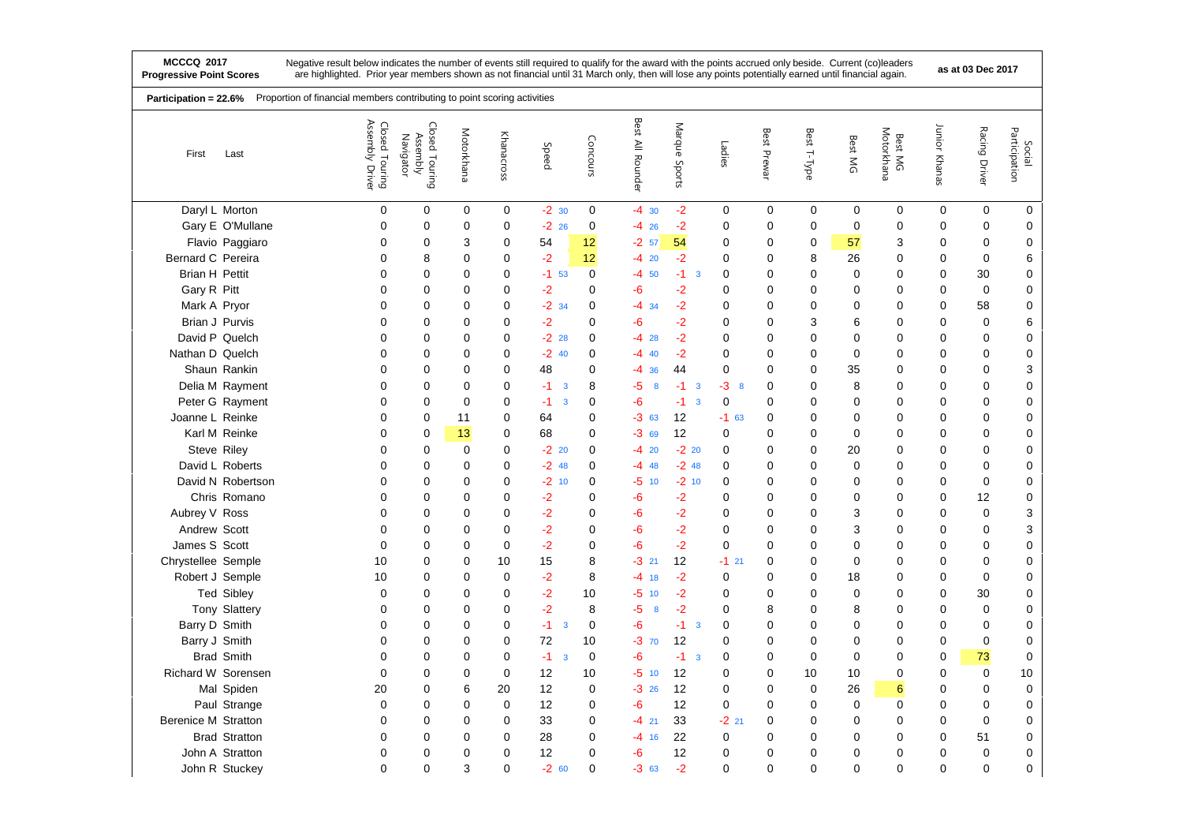| Participation = 22.6%      | Proportion of financial members contributing to point scoring activities |                                   |                                         |             |             |                                 |             |                        |                               |             |             |             |             |                       |               |               |                           |
|----------------------------|--------------------------------------------------------------------------|-----------------------------------|-----------------------------------------|-------------|-------------|---------------------------------|-------------|------------------------|-------------------------------|-------------|-------------|-------------|-------------|-----------------------|---------------|---------------|---------------------------|
| First                      | Last                                                                     | Closed Touring<br>Assembly Driver | Closed Touring<br>Assembly<br>Navigator | Motorkhana  | Khanacross  | Speed                           | Concours    | Best All Rounder       | Marque<br>Sports              | Ladies      | Best Prewar | Best T-Type | Best MG     | Motorkhana<br>Best MG | Junior Khanas | Racing Driver | Participation<br>Social   |
|                            | Daryl L Morton                                                           | 0                                 | $\mathbf 0$                             | 0           | $\mathbf 0$ | $-2$ 30                         | $\mathbf 0$ | $-4$ 30                | $-2$                          | 0           | 0           | 0           | 0           | 0                     | 0             | 0             | 0                         |
|                            | Gary E O'Mullane                                                         | $\mathbf 0$                       | 0                                       | 0           | 0           | $-22$ 26                        | $\mathbf 0$ | $-4$ 26                | $-2$                          | $\mathbf 0$ | $\mathbf 0$ | $\mathbf 0$ | $\mathbf 0$ | 0                     | $\mathbf 0$   | 0             | 0                         |
|                            | Flavio Paggiaro                                                          | 0                                 | 0                                       | 3           | $\mathbf 0$ | 54                              | 12          | $-2.57$                | 54                            | 0           | 0           | 0           | 57          | 3                     | $\mathbf 0$   | $\mathbf 0$   | 0                         |
| Bernard C Pereira          |                                                                          | 0                                 | 8                                       | 0           | 0           | -2                              | 12          | $-420$                 | $-2$                          | 0           | 0           | 8           | 26          | 0                     | 0             | $\mathbf 0$   | 6                         |
| <b>Brian H Pettit</b>      |                                                                          | 0                                 | 0                                       | 0           | 0           | $-1$ 53                         | $\mathbf 0$ | $-4, 50$               | $-1$<br>$\overline{3}$        | 0           | 0           | 0           | 0           | 0                     | 0             | 30            | 0                         |
| Gary R Pitt                |                                                                          | 0                                 | 0                                       | 0           | $\mathbf 0$ | -2                              | $\mathbf 0$ | -6                     | $-2$                          | $\mathbf 0$ | 0           | $\mathbf 0$ | 0           | 0                     | 0             | $\mathbf 0$   | 0                         |
| Mark A Pryor               |                                                                          | 0                                 | 0                                       | 0           | $\mathbf 0$ | $-2$ 34                         | $\mathbf 0$ | -4<br>34               | $-2$                          | 0           | 0           | $\mathbf 0$ | 0           | 0                     | $\mathbf 0$   | 58            | 0                         |
|                            | Brian J Purvis                                                           | $\Omega$                          | 0                                       | $\Omega$    | $\mathbf 0$ | $-2$                            | $\Omega$    | -6                     | -2                            | $\mathbf 0$ | 0           | 3           | 6           | $\Omega$              | $\mathbf 0$   | $\mathbf 0$   | 6                         |
|                            | David P Quelch                                                           | $\mathbf 0$                       | 0                                       | 0           | $\mathbf 0$ | $-22$ 28                        | $\mathbf 0$ | $-428$                 | $-2$                          | $\mathbf 0$ | 0           | $\mathbf 0$ | 0           | 0                     | $\mathbf 0$   | $\mathbf 0$   | 0                         |
| Nathan D Quelch            |                                                                          | $\mathbf 0$                       | 0                                       | $\Omega$    | $\mathbf 0$ | $-2$ 40                         | $\Omega$    | -4<br>40               | $-2$                          | $\mathbf 0$ | 0           | $\mathbf 0$ | $\mathbf 0$ | $\Omega$              | $\mathbf 0$   | $\mathbf 0$   | 0                         |
|                            | Shaun Rankin                                                             | $\mathbf 0$                       | 0                                       | 0           | $\mathbf 0$ | 48                              | 0           | -4<br>36               | 44                            | 0           | 0           | $\mathbf 0$ | 35          | 0                     | $\mathbf 0$   | $\mathbf 0$   | 3                         |
|                            | Delia M Rayment                                                          | $\mathbf 0$                       | 0                                       | 0           | $\mathbf 0$ | $-1$<br>$\overline{\mathbf{3}}$ | 8           | -5<br>8                | $-1$<br>3                     | -3<br>8     | 0           | $\mathbf 0$ | 8           | 0                     | $\mathbf 0$   | $\mathbf 0$   | 0                         |
|                            | Peter G Rayment                                                          | 0                                 | 0                                       | $\mathbf 0$ | 0           | $-1$<br>$\mathbf{3}$            | 0           | -6                     | -1<br>$\overline{\mathbf{3}}$ | $\mathbf 0$ | 0           | $\mathbf 0$ | 0           | 0                     | $\mathbf 0$   | $\mathbf 0$   | 0                         |
| Joanne L Reinke            |                                                                          | 0                                 | 0                                       | 11          | $\mathbf 0$ | 64                              | $\mathbf 0$ | $-363$                 | 12                            | $-1$ 63     | 0           | 0           | 0           | 0                     | $\mathbf 0$   | $\mathbf 0$   | 0                         |
|                            | Karl M Reinke                                                            | 0                                 | 0                                       | 13          | $\mathbf 0$ | 68                              | $\mathbf 0$ | $-369$                 | 12                            | $\mathbf 0$ | 0           | $\mathbf 0$ | 0           | $\Omega$              | $\mathbf 0$   | $\mathbf 0$   | 0                         |
|                            | Steve Riley                                                              | 0                                 | 0                                       | 0           | $\mathbf 0$ | $-220$                          | 0           | $-420$                 | $-220$                        | 0           | 0           | $\mathbf 0$ | 20          | 0                     | 0             | $\mathbf 0$   | 0                         |
|                            | David L Roberts                                                          | 0                                 | 0                                       | 0           | $\mathbf 0$ | $-2$ 48                         | 0           | $-448$                 | $-248$                        | 0           | 0           | $\mathbf 0$ | 0           | 0                     | $\mathbf 0$   | $\mathbf 0$   | 0                         |
|                            | David N Robertson                                                        | 0                                 | 0                                       | 0           | 0           | $-2$ 10                         | $\mathbf 0$ | -5<br>10               | $-210$                        | $\mathbf 0$ | 0           | 0           | 0           | 0                     | $\mathbf 0$   | $\mathbf 0$   | 0                         |
|                            | Chris Romano                                                             | 0                                 | 0                                       | 0           | $\mathbf 0$ | -2                              | $\mathbf 0$ | -6                     | $-2$                          | $\mathbf 0$ | 0           | $\mathbf 0$ | 0           | 0                     | $\mathbf 0$   | 12            | 0                         |
| Aubrey V Ross              |                                                                          | 0                                 | 0                                       | 0           | $\mathbf 0$ | $-2$                            | 0           | -6                     | $-2$                          | 0           | $\mathbf 0$ | $\mathbf 0$ | 3           | 0                     | $\mathbf 0$   | $\mathbf 0$   | $\ensuremath{\mathsf{3}}$ |
| Andrew Scott               |                                                                          | 0                                 | 0                                       | 0           | $\mathbf 0$ | $-2$                            | $\mathbf 0$ | $-6$                   | $-2$                          | $\mathbf 0$ | 0           | $\mathbf 0$ | 3           | $\mathbf{0}$          | $\mathbf 0$   | $\mathbf 0$   | 3                         |
| James S Scott              |                                                                          | 0                                 | 0                                       | $\Omega$    | $\mathbf 0$ | $-2$                            | 0           | -6                     | $-2$                          | $\mathbf 0$ | $\Omega$    | 0           | 0           | 0                     | 0             | $\mathbf 0$   | 0                         |
| Chrystellee Semple         |                                                                          | 10                                | 0                                       | $\mathbf 0$ | 10          | 15                              | 8           | $-3$ 21                | 12                            | $-1$ 21     | $\mathbf 0$ | $\mathbf 0$ | 0           | $\Omega$              | $\mathbf 0$   | $\mathbf 0$   | 0                         |
| Robert J Semple            |                                                                          | 10                                | 0                                       | $\mathbf 0$ | $\mathbf 0$ | $-2$                            | 8           | $-4$ 18                | $-2$                          | $\mathbf 0$ | 0           | $\mathbf 0$ | 18          | 0                     | $\mathbf 0$   | $\mathbf 0$   | 0                         |
|                            | <b>Ted Sibley</b>                                                        | $\mathbf 0$                       | 0                                       | 0           | $\mathbf 0$ | $-2$                            | 10          | -5<br>10               | $-2$                          | $\mathbf 0$ | 0           | $\mathbf 0$ | 0           | 0                     | $\mathbf 0$   | 30            | 0                         |
|                            | Tony Slattery                                                            | 0                                 | 0                                       | $\mathbf 0$ | $\mathbf 0$ | $-2$                            | 8           | -5<br>$\boldsymbol{8}$ | $-2$                          | $\mathbf 0$ | 8           | $\mathbf 0$ | 8           | 0                     | $\mathbf 0$   | $\mathbf 0$   | 0                         |
| Barry D Smith              |                                                                          | 0                                 | 0                                       | $\Omega$    | $\mathbf 0$ | $-1$<br>$\mathbf{3}$            | $\mathbf 0$ | -6                     | $-1$<br>$\overline{3}$        | $\mathbf 0$ | 0           | $\mathbf 0$ | 0           | 0                     | $\mathbf 0$   | $\mathbf 0$   | 0                         |
| Barry J Smith              |                                                                          | 0                                 | 0                                       | 0           | 0           | 72                              | 10          | -3<br>70               | 12                            | 0           | 0           | $\mathbf 0$ | 0           | 0                     | 0             | $\mathbf 0$   | 0                         |
|                            | <b>Brad Smith</b>                                                        | 0                                 | 0                                       | 0           | $\mathbf 0$ | $-1$<br>$\overline{\mathbf{3}}$ | $\mathbf 0$ | -6                     | -1<br>$\overline{\mathbf{3}}$ | 0           | 0           | 0           | 0           | 0                     | $\mathbf 0$   | 73            | 0                         |
| Richard W Sorensen         |                                                                          | 0                                 | 0                                       | 0           | $\mathbf 0$ | 12                              | 10          | $-5$ 10                | 12                            | $\mathbf 0$ | 0           | 10          | 10          | 0                     | $\mathbf 0$   | 0             | 10                        |
|                            | Mal Spiden                                                               | 20                                | 0                                       | 6           | 20          | 12                              | 0           | $-326$                 | 12                            | 0           | 0           | $\mathbf 0$ | 26          | 6                     | 0             | $\mathbf 0$   | $\mathbf 0$               |
|                            | Paul Strange                                                             | $\mathbf 0$                       | 0                                       | 0           | 0           | 12                              | $\mathbf 0$ | -6                     | 12                            | $\mathbf 0$ | 0           | $\mathbf 0$ | 0           | $\mathbf{0}$          | $\mathbf 0$   | $\mathbf 0$   | 0                         |
| <b>Berenice M Stratton</b> |                                                                          | 0                                 | 0                                       | 0           | 0           | 33                              | $\mathbf 0$ | $-4$ 21                | 33                            | $-221$      | 0           | 0           | 0           | 0                     | 0             | $\mathbf 0$   | 0                         |
|                            | <b>Brad Stratton</b>                                                     | 0                                 | 0                                       | $\Omega$    | $\Omega$    | 28                              | $\Omega$    | $-4$<br>16             | 22                            | 0           | 0           | $\mathbf 0$ | 0           | $\mathbf{0}$          | $\mathbf 0$   | 51            | 0                         |
|                            | John A Stratton                                                          | 0                                 | 0                                       | $\mathbf 0$ | $\mathbf 0$ | 12                              | $\mathbf 0$ | -6                     | 12                            | 0           | 0           | 0           | 0           | 0                     | 0             | $\mathbf 0$   | 0                         |
|                            | John R Stuckey                                                           | $\mathbf 0$                       | 0                                       | 3           | $\mathbf 0$ | $-2$<br>60                      | $\mathbf 0$ | $-363$                 | $-2$                          | $\mathbf 0$ | 0           | 0           | 0           | 0                     | $\mathbf 0$   | $\mathbf 0$   | 0                         |